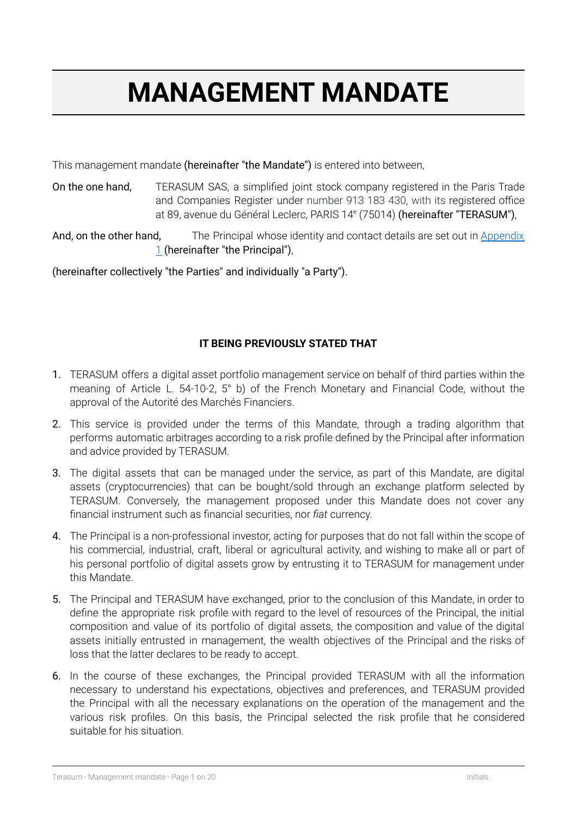# **MANAGEMENT MANDATE**

This management mandate (hereinafter "the Mandate") is entered into between,

On the one hand, TERASUM SAS, a simplified joint stock company registered in the Paris Trade and Companies Register under number 913 183 430, with its registered office at 89, avenue du Général Leclerc, PARIS 14<sup>e</sup> (75014) **(hereinafter "TERASUM")**,

And, on the other hand, The Principal whose identity and contact details are set out in [Appendix](#page-18-0) [1](#page-18-0) (hereinafter "the Principal"),

(hereinafter collectively "the Parties" and individually "a Party").

# **IT BEING PREVIOUSLY STATED THAT**

- 1. TERASUM offers a digital asset portfolio management service on behalf of third parties within the meaning of Article L. 54-10-2, 5° b) of the French Monetary and Financial Code, without the approval of the Autorité des Marchés Financiers.
- 2. This service is provided under the terms of this Mandate, through a trading algorithm that performs automatic arbitrages according to a risk profile defined by the Principal after information and advice provided by TERASUM.
- 3. The digital assets that can be managed under the service, as part of this Mandate, are digital assets (cryptocurrencies) that can be bought/sold through an exchange platform selected by TERASUM. Conversely, the management proposed under this Mandate does not cover any financial instrument such as financial securities, nor *fiat* currency.
- 4. The Principal is a non-professional investor, acting for purposes that do not fall within the scope of his commercial, industrial, craft, liberal or agricultural activity, and wishing to make all or part of his personal portfolio of digital assets grow by entrusting it to TERASUM for management under this Mandate.
- 5. The Principal and TERASUM have exchanged, prior to the conclusion of this Mandate, in order to define the appropriate risk profile with regard to the level of resources of the Principal, the initial composition and value of its portfolio of digital assets, the composition and value of the digital assets initially entrusted in management, the wealth objectives of the Principal and the risks of loss that the latter declares to be ready to accept.
- 6. In the course of these exchanges, the Principal provided TERASUM with all the information necessary to understand his expectations, objectives and preferences, and TERASUM provided the Principal with all the necessary explanations on the operation of the management and the various risk profiles. On this basis, the Principal selected the risk profile that he considered suitable for his situation.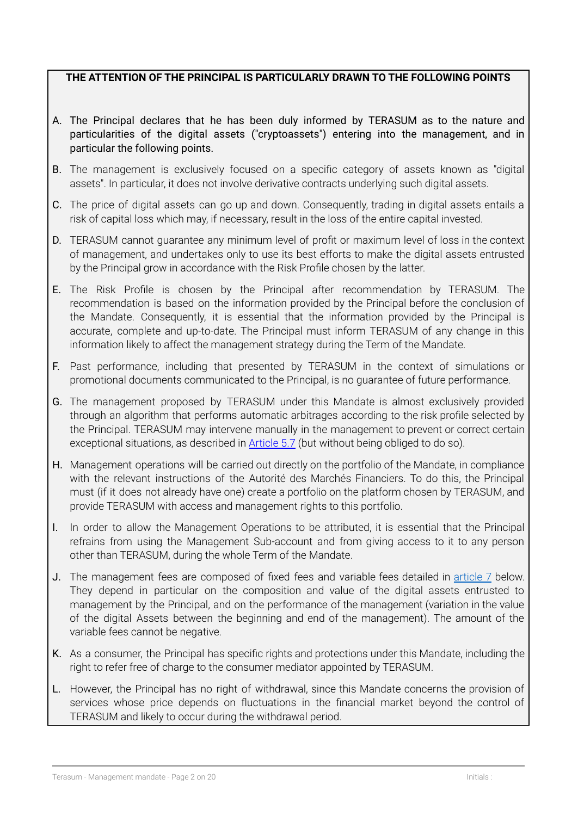## **THE ATTENTION OF THE PRINCIPAL IS PARTICULARLY DRAWN TO THE FOLLOWING POINTS**

- A. The Principal declares that he has been duly informed by TERASUM as to the nature and particularities of the digital assets ("cryptoassets") entering into the management, and in particular the following points.
- B. The management is exclusively focused on a specific category of assets known as "digital assets". In particular, it does not involve derivative contracts underlying such digital assets.
- C. The price of digital assets can go up and down. Consequently, trading in digital assets entails a risk of capital loss which may, if necessary, result in the loss of the entire capital invested.
- D. TERASUM cannot guarantee any minimum level of profit or maximum level of loss in the context of management, and undertakes only to use its best efforts to make the digital assets entrusted by the Principal grow in accordance with the Risk Profile chosen by the latter.
- E. The Risk Profile is chosen by the Principal after recommendation by TERASUM. The recommendation is based on the information provided by the Principal before the conclusion of the Mandate. Consequently, it is essential that the information provided by the Principal is accurate, complete and up-to-date. The Principal must inform TERASUM of any change in this information likely to affect the management strategy during the Term of the Mandate.
- F. Past performance, including that presented by TERASUM in the context of simulations or promotional documents communicated to the Principal, is no guarantee of future performance.
- G. The management proposed by TERASUM under this Mandate is almost exclusively provided through an algorithm that performs automatic arbitrages according to the risk profile selected by the Principal. TERASUM may intervene manually in the management to prevent or correct certain exceptional situations, as described in **[Article](#page-7-0) 5.7** (but without being obliged to do so).
- H. Management operations will be carried out directly on the portfolio of the Mandate, in compliance with the relevant instructions of the Autorité des Marchés Financiers. To do this, the Principal must (if it does not already have one) create a portfolio on the platform chosen by TERASUM, and provide TERASUM with access and management rights to this portfolio.
- I. In order to allow the Management Operations to be attributed, it is essential that the Principal refrains from using the Management Sub-account and from giving access to it to any person other than TERASUM, during the whole Term of the Mandate.
- J. The management fees are composed of fixed fees and variable fees detailed in [article](#page-10-0) 7 below. They depend in particular on the composition and value of the digital assets entrusted to management by the Principal, and on the performance of the management (variation in the value of the digital Assets between the beginning and end of the management). The amount of the variable fees cannot be negative.
- K. As a consumer, the Principal has specific rights and protections under this Mandate, including the right to refer free of charge to the consumer mediator appointed by TERASUM.
- L. However, the Principal has no right of withdrawal, since this Mandate concerns the provision of services whose price depends on fluctuations in the financial market beyond the control of TERASUM and likely to occur during the withdrawal period.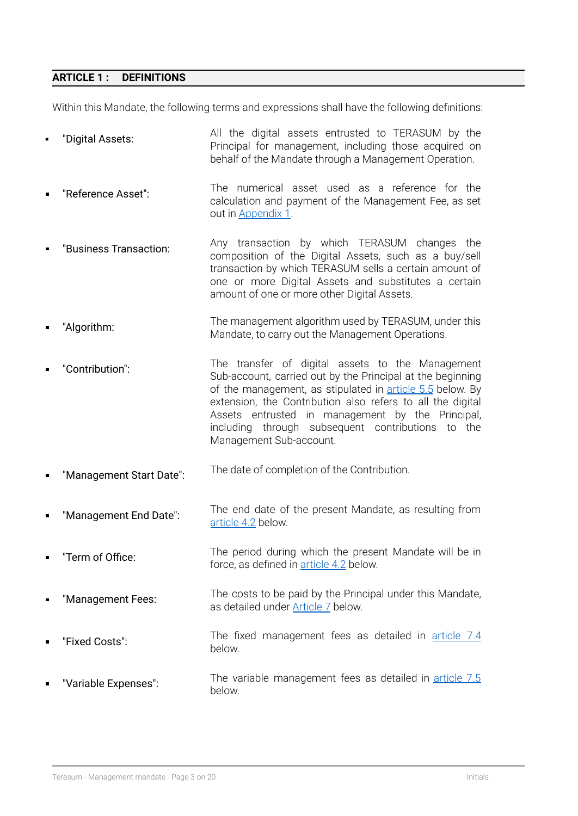#### **ARTICLE 1 : DEFINITIONS**

Within this Mandate, the following terms and expressions shall have the following definitions:

- "Digital Assets: All the digital assets entrusted to TERASUM by the Principal for management, including those acquired on behalf of the Mandate through a Management Operation.
- "Reference Asset": The numerical asset used as a reference for the calculation and payment of the Management Fee, as set out in [Appendix](#page-18-0) 1.
- "Business Transaction: Any transaction by which TERASUM changes the composition of the Digital Assets, such as a buy/sell transaction by which TERASUM sells a certain amount of one or more Digital Assets and substitutes a certain amount of one or more other Digital Assets.
- "Algorithm: The management algorithm used by TERASUM, under this Mandate, to carry out the Management Operations.
- "Contribution": The transfer of digital assets to the Management Sub-account, carried out by the Principal at the beginning of the management, as stipulated in [article](#page-6-0) 5.5 below. By extension, the Contribution also refers to all the digital Assets entrusted in management by the Principal, including through subsequent contributions to the Management Sub-account.
- "Management Start Date": The date of completion of the Contribution.
- "Management End Date": The end date of the present Mandate, as resulting from [article](#page-4-0) 4.2 below.
- "Term of Office: The period during which the present Mandate will be in force, as defined in **[article](#page-4-0) 4.2** below.
- "Management Fees: The costs to be paid by the Principal under this Mandate, as detailed under [Article](#page-10-0) 7 below.
- "Fixed Costs": The fixed management fees as detailed in [article](#page-11-0) 7.4 below.
- "Variable Expenses": The variable management fees as detailed in [article](#page-12-0) 7.5 below.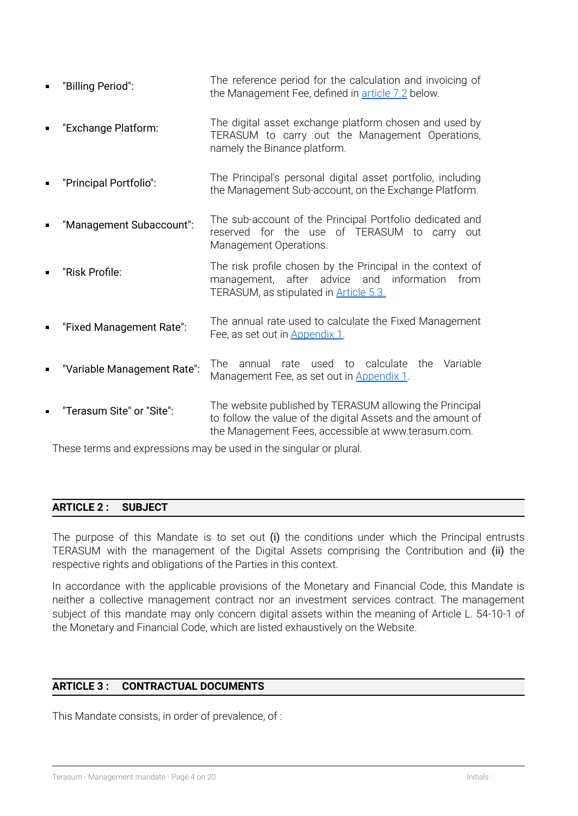- "Billing Period": The reference period for the calculation and invoicing of the Management Fee, defined in [article](#page-10-1) 7.2 below.
- "Exchange Platform: The digital asset exchange platform chosen and used by TERASUM to carry out the Management Operations, namely the Binance platform.
- "Principal Portfolio": The Principal's personal digital asset portfolio, including the Management Sub-account, on the Exchange Platform.
- "Management Subaccount": The sub-account of the Principal Portfolio dedicated and reserved for the use of TERASUM to carry out Management Operations.
- "Risk Profile: The risk profile chosen by the Principal in the context of management, after advice and information from TERASUM, as stipulated in [Article](#page-5-0) 5.3.
- "Fixed Management Rate": The annual rate used to calculate the Fixed Management Fee, as set out in [Appendix](#page-18-0) 1.
- "Variable Management Rate": The annual rate used to calculate the Variable Management Fee, as set out in [Appendix](#page-18-0) 1.
- "Terasum Site" or "Site": The website published by TERASUM allowing the Principal to follow the value of the digital Assets and the amount of the Management Fees, accessible at www.terasum.com.

<span id="page-3-0"></span>These terms and expressions may be used in the singular or plural.

## **ARTICLE 2 : SUBJECT**

The purpose of this Mandate is to set out (i) the conditions under which the Principal entrusts TERASUM with the management of the Digital Assets comprising the Contribution and (ii) the respective rights and obligations of the Parties in this context.

In accordance with the applicable provisions of the Monetary and Financial Code, this Mandate is neither a collective management contract nor an investment services contract. The management subject of this mandate may only concern digital assets within the meaning of Article L. 54-10-1 of the Monetary and Financial Code, which are listed exhaustively on the Website.

## **ARTICLE 3 : CONTRACTUAL DOCUMENTS**

This Mandate consists, in order of prevalence, of :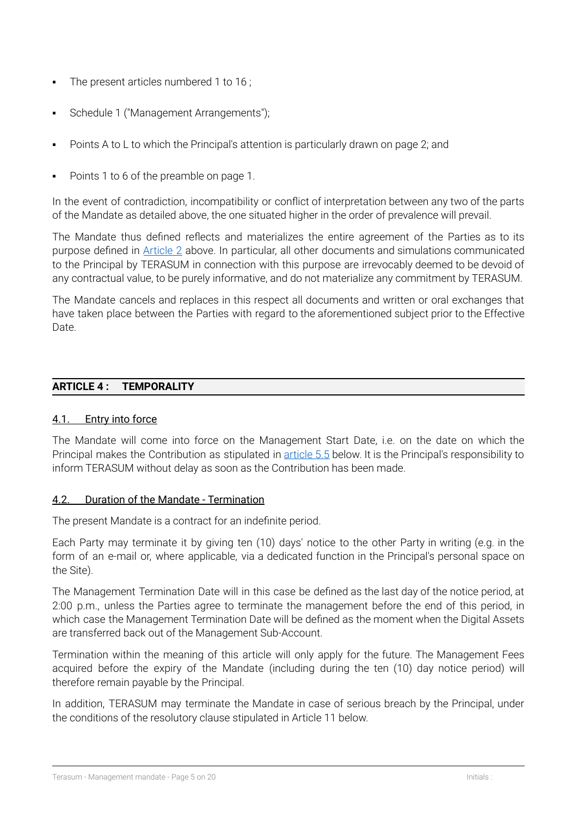- The present articles numbered 1 to 16 ;
- Schedule 1 ("Management Arrangements");
- Points A to L to which the Principal's attention is particularly drawn on page 2; and
- Points 1 to 6 of the preamble on page 1.

In the event of contradiction, incompatibility or conflict of interpretation between any two of the parts of the Mandate as detailed above, the one situated higher in the order of prevalence will prevail.

The Mandate thus defined reflects and materializes the entire agreement of the Parties as to its purpose defined in [Article](#page-3-0) 2 above. In particular, all other documents and simulations communicated to the Principal by TERASUM in connection with this purpose are irrevocably deemed to be devoid of any contractual value, to be purely informative, and do not materialize any commitment by TERASUM.

The Mandate cancels and replaces in this respect all documents and written or oral exchanges that have taken place between the Parties with regard to the aforementioned subject prior to the Effective Date.

## **ARTICLE 4 : TEMPORALITY**

## 4.1. Entry into force

The Mandate will come into force on the Management Start Date, i.e. on the date on which the Principal makes the Contribution as stipulated in [article](#page-6-0) 5.5 below. It is the Principal's responsibility to inform TERASUM without delay as soon as the Contribution has been made.

## <span id="page-4-0"></span>4.2. Duration of the Mandate - Termination

The present Mandate is a contract for an indefinite period.

Each Party may terminate it by giving ten (10) days' notice to the other Party in writing (e.g. in the form of an e-mail or, where applicable, via a dedicated function in the Principal's personal space on the Site).

The Management Termination Date will in this case be defined as the last day of the notice period, at 2:00 p.m., unless the Parties agree to terminate the management before the end of this period, in which case the Management Termination Date will be defined as the moment when the Digital Assets are transferred back out of the Management Sub-Account.

Termination within the meaning of this article will only apply for the future. The Management Fees acquired before the expiry of the Mandate (including during the ten (10) day notice period) will therefore remain payable by the Principal.

In addition, TERASUM may terminate the Mandate in case of serious breach by the Principal, under the conditions of the resolutory clause stipulated in Article 11 below.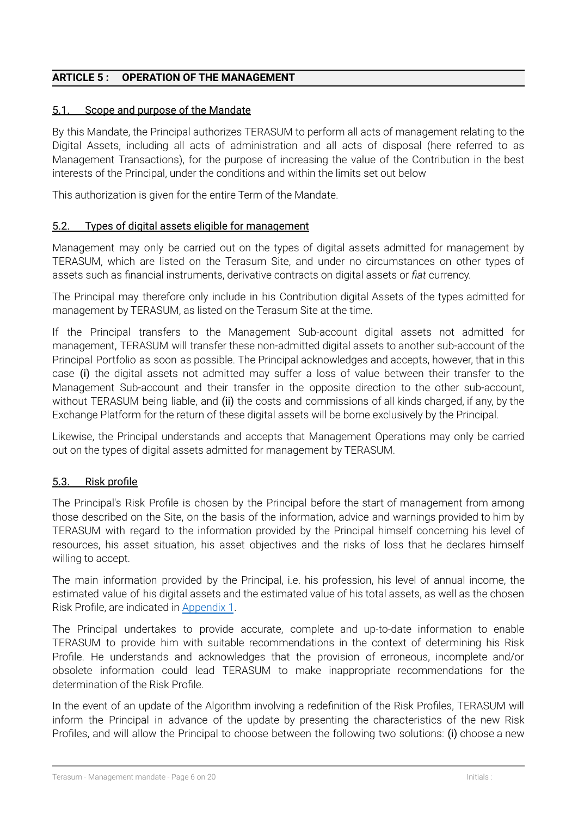## <span id="page-5-1"></span>**ARTICLE 5 : OPERATION OF THE MANAGEMENT**

#### 5.1. Scope and purpose of the Mandate

By this Mandate, the Principal authorizes TERASUM to perform all acts of management relating to the Digital Assets, including all acts of administration and all acts of disposal (here referred to as Management Transactions), for the purpose of increasing the value of the Contribution in the best interests of the Principal, under the conditions and within the limits set out below

This authorization is given for the entire Term of the Mandate.

#### 5.2. Types of digital assets eligible for management

Management may only be carried out on the types of digital assets admitted for management by TERASUM, which are listed on the Terasum Site, and under no circumstances on other types of assets such as financial instruments, derivative contracts on digital assets or *fiat* currency.

The Principal may therefore only include in his Contribution digital Assets of the types admitted for management by TERASUM, as listed on the Terasum Site at the time.

If the Principal transfers to the Management Sub-account digital assets not admitted for management, TERASUM will transfer these non-admitted digital assets to another sub-account of the Principal Portfolio as soon as possible. The Principal acknowledges and accepts, however, that in this case (i) the digital assets not admitted may suffer a loss of value between their transfer to the Management Sub-account and their transfer in the opposite direction to the other sub-account, without TERASUM being liable, and (ii) the costs and commissions of all kinds charged, if any, by the Exchange Platform for the return of these digital assets will be borne exclusively by the Principal.

Likewise, the Principal understands and accepts that Management Operations may only be carried out on the types of digital assets admitted for management by TERASUM.

## <span id="page-5-0"></span>5.3. Risk profile

The Principal's Risk Profile is chosen by the Principal before the start of management from among those described on the Site, on the basis of the information, advice and warnings provided to him by TERASUM with regard to the information provided by the Principal himself concerning his level of resources, his asset situation, his asset objectives and the risks of loss that he declares himself willing to accept.

The main information provided by the Principal, i.e. his profession, his level of annual income, the estimated value of his digital assets and the estimated value of his total assets, as well as the chosen Risk Profile, are indicated in [Appendix](#page-18-0) 1.

The Principal undertakes to provide accurate, complete and up-to-date information to enable TERASUM to provide him with suitable recommendations in the context of determining his Risk Profile. He understands and acknowledges that the provision of erroneous, incomplete and/or obsolete information could lead TERASUM to make inappropriate recommendations for the determination of the Risk Profile.

In the event of an update of the Algorithm involving a redefinition of the Risk Profiles, TERASUM will inform the Principal in advance of the update by presenting the characteristics of the new Risk Profiles, and will allow the Principal to choose between the following two solutions: (i) choose a new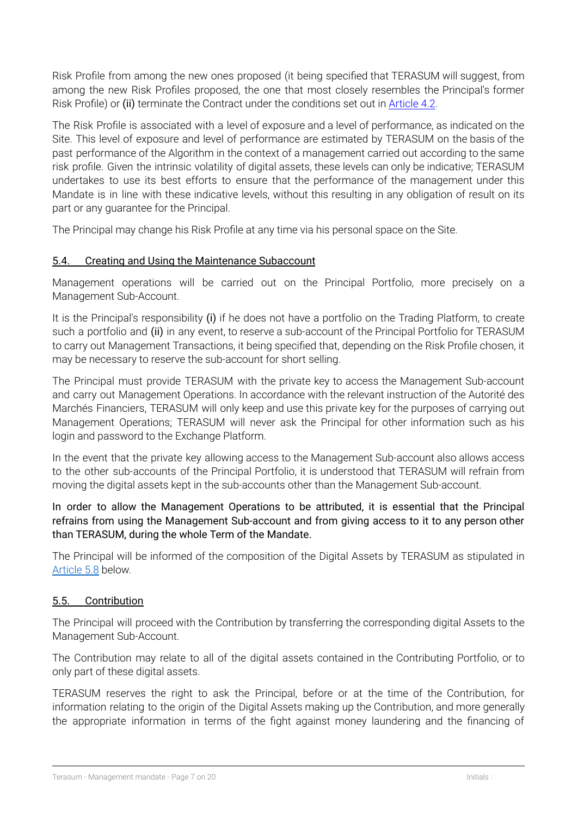Risk Profile from among the new ones proposed (it being specified that TERASUM will suggest, from among the new Risk Profiles proposed, the one that most closely resembles the Principal's former Risk Profile) or (ii) terminate the Contract under the conditions set out in [Article](#page-4-0) 4.2.

The Risk Profile is associated with a level of exposure and a level of performance, as indicated on the Site. This level of exposure and level of performance are estimated by TERASUM on the basis of the past performance of the Algorithm in the context of a management carried out according to the same risk profile. Given the intrinsic volatility of digital assets, these levels can only be indicative; TERASUM undertakes to use its best efforts to ensure that the performance of the management under this Mandate is in line with these indicative levels, without this resulting in any obligation of result on its part or any guarantee for the Principal.

The Principal may change his Risk Profile at any time via his personal space on the Site.

## 5.4. Creating and Using the Maintenance Subaccount

Management operations will be carried out on the Principal Portfolio, more precisely on a Management Sub-Account.

It is the Principal's responsibility (i) if he does not have a portfolio on the Trading Platform, to create such a portfolio and (ii) in any event, to reserve a sub-account of the Principal Portfolio for TERASUM to carry out Management Transactions, it being specified that, depending on the Risk Profile chosen, it may be necessary to reserve the sub-account for short selling.

The Principal must provide TERASUM with the private key to access the Management Sub-account and carry out Management Operations. In accordance with the relevant instruction of the Autorité des Marchés Financiers, TERASUM will only keep and use this private key for the purposes of carrying out Management Operations; TERASUM will never ask the Principal for other information such as his login and password to the Exchange Platform.

In the event that the private key allowing access to the Management Sub-account also allows access to the other sub-accounts of the Principal Portfolio, it is understood that TERASUM will refrain from moving the digital assets kept in the sub-accounts other than the Management Sub-account.

In order to allow the Management Operations to be attributed, it is essential that the Principal refrains from using the Management Sub-account and from giving access to it to any person other than TERASUM, during the whole Term of the Mandate.

The Principal will be informed of the composition of the Digital Assets by TERASUM as stipulated in [Article](#page-8-0) 5.8 below.

# <span id="page-6-0"></span>5.5. Contribution

The Principal will proceed with the Contribution by transferring the corresponding digital Assets to the Management Sub-Account.

The Contribution may relate to all of the digital assets contained in the Contributing Portfolio, or to only part of these digital assets.

TERASUM reserves the right to ask the Principal, before or at the time of the Contribution, for information relating to the origin of the Digital Assets making up the Contribution, and more generally the appropriate information in terms of the fight against money laundering and the financing of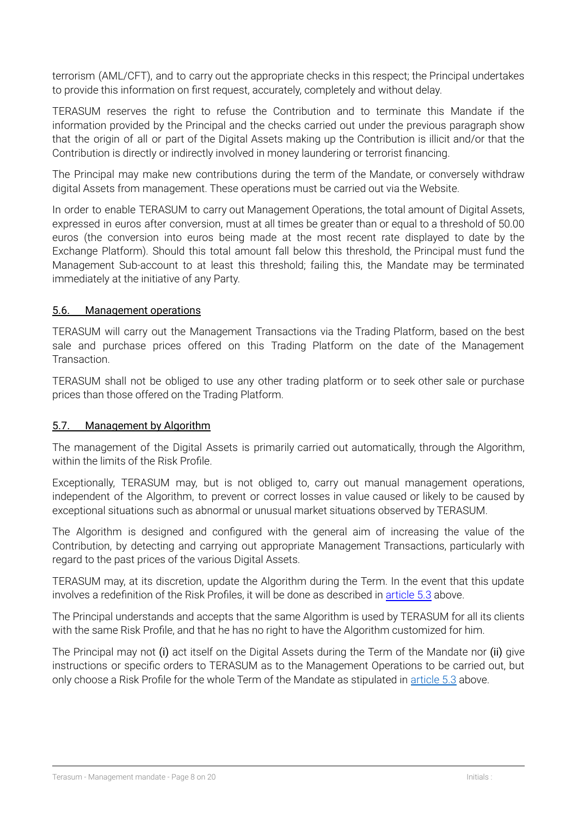terrorism (AML/CFT), and to carry out the appropriate checks in this respect; the Principal undertakes to provide this information on first request, accurately, completely and without delay.

TERASUM reserves the right to refuse the Contribution and to terminate this Mandate if the information provided by the Principal and the checks carried out under the previous paragraph show that the origin of all or part of the Digital Assets making up the Contribution is illicit and/or that the Contribution is directly or indirectly involved in money laundering or terrorist financing.

The Principal may make new contributions during the term of the Mandate, or conversely withdraw digital Assets from management. These operations must be carried out via the Website.

In order to enable TERASUM to carry out Management Operations, the total amount of Digital Assets, expressed in euros after conversion, must at all times be greater than or equal to a threshold of 50.00 euros (the conversion into euros being made at the most recent rate displayed to date by the Exchange Platform). Should this total amount fall below this threshold, the Principal must fund the Management Sub-account to at least this threshold; failing this, the Mandate may be terminated immediately at the initiative of any Party.

## <span id="page-7-1"></span>5.6. Management operations

TERASUM will carry out the Management Transactions via the Trading Platform, based on the best sale and purchase prices offered on this Trading Platform on the date of the Management Transaction.

TERASUM shall not be obliged to use any other trading platform or to seek other sale or purchase prices than those offered on the Trading Platform.

## <span id="page-7-0"></span>5.7. Management by Algorithm

The management of the Digital Assets is primarily carried out automatically, through the Algorithm, within the limits of the Risk Profile.

Exceptionally, TERASUM may, but is not obliged to, carry out manual management operations, independent of the Algorithm, to prevent or correct losses in value caused or likely to be caused by exceptional situations such as abnormal or unusual market situations observed by TERASUM.

The Algorithm is designed and configured with the general aim of increasing the value of the Contribution, by detecting and carrying out appropriate Management Transactions, particularly with regard to the past prices of the various Digital Assets.

TERASUM may, at its discretion, update the Algorithm during the Term. In the event that this update involves a redefinition of the Risk Profiles, it will be done as described in [article](#page-5-0) 5.3 above.

The Principal understands and accepts that the same Algorithm is used by TERASUM for all its clients with the same Risk Profile, and that he has no right to have the Algorithm customized for him.

The Principal may not (i) act itself on the Digital Assets during the Term of the Mandate nor (ii) give instructions or specific orders to TERASUM as to the Management Operations to be carried out, but only choose a Risk Profile for the whole Term of the Mandate as stipulated in [article](#page-5-0) 5.3 above.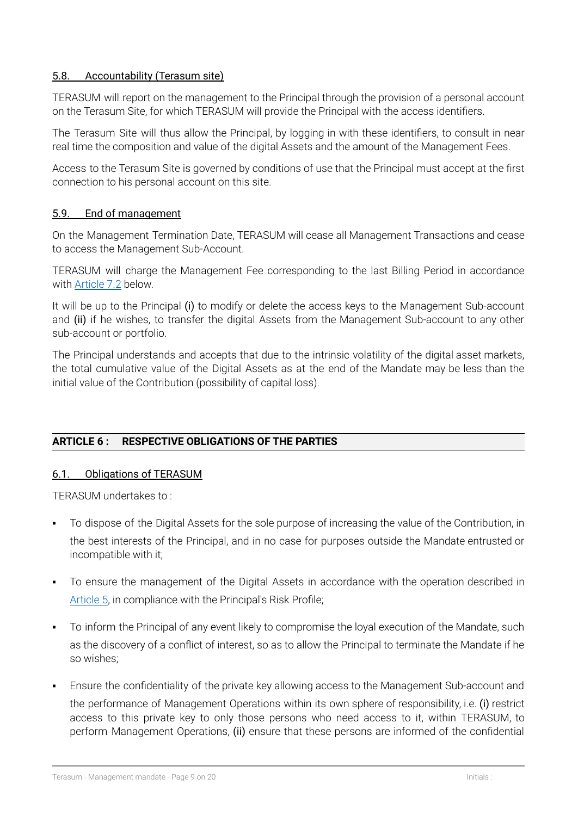## <span id="page-8-0"></span>5.8. Accountability (Terasum site)

TERASUM will report on the management to the Principal through the provision of a personal account on the Terasum Site, for which TERASUM will provide the Principal with the access identifiers.

The Terasum Site will thus allow the Principal, by logging in with these identifiers, to consult in near real time the composition and value of the digital Assets and the amount of the Management Fees.

Access to the Terasum Site is governed by conditions of use that the Principal must accept at the first connection to his personal account on this site.

#### 5.9. End of management

On the Management Termination Date, TERASUM will cease all Management Transactions and cease to access the Management Sub-Account.

TERASUM will charge the Management Fee corresponding to the last Billing Period in accordance with [Article](#page-10-1) 7.2 below.

It will be up to the Principal (i) to modify or delete the access keys to the Management Sub-account and (ii) if he wishes, to transfer the digital Assets from the Management Sub-account to any other sub-account or portfolio.

The Principal understands and accepts that due to the intrinsic volatility of the digital asset markets, the total cumulative value of the Digital Assets as at the end of the Mandate may be less than the initial value of the Contribution (possibility of capital loss).

## **ARTICLE 6 : RESPECTIVE OBLIGATIONS OF THE PARTIES**

#### 6.1. Obligations of TERASUM

TERASUM undertakes to :

- To dispose of the Digital Assets for the sole purpose of increasing the value of the Contribution, in the best interests of the Principal, and in no case for purposes outside the Mandate entrusted or incompatible with it;
- To ensure the management of the Digital Assets in accordance with the operation described in [Article](#page-5-1) 5, in compliance with the Principal's Risk Profile;
- To inform the Principal of any event likely to compromise the loyal execution of the Mandate, such as the discovery of a conflict of interest, so as to allow the Principal to terminate the Mandate if he so wishes;
- Ensure the confidentiality of the private key allowing access to the Management Sub-account and the performance of Management Operations within its own sphere of responsibility, i.e. (i) restrict access to this private key to only those persons who need access to it, within TERASUM, to perform Management Operations, (ii) ensure that these persons are informed of the confidential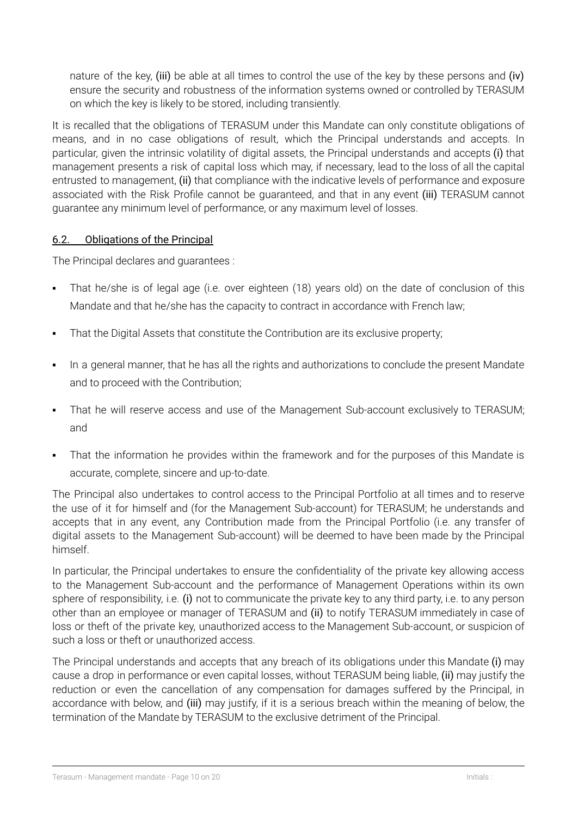nature of the key, (iii) be able at all times to control the use of the key by these persons and (iv) ensure the security and robustness of the information systems owned or controlled by TERASUM on which the key is likely to be stored, including transiently.

It is recalled that the obligations of TERASUM under this Mandate can only constitute obligations of means, and in no case obligations of result, which the Principal understands and accepts. In particular, given the intrinsic volatility of digital assets, the Principal understands and accepts (i) that management presents a risk of capital loss which may, if necessary, lead to the loss of all the capital entrusted to management, (ii) that compliance with the indicative levels of performance and exposure associated with the Risk Profile cannot be guaranteed, and that in any event (iii) TERASUM cannot guarantee any minimum level of performance, or any maximum level of losses.

## 6.2. Obligations of the Principal

The Principal declares and guarantees :

- That he/she is of legal age (i.e. over eighteen (18) years old) on the date of conclusion of this Mandate and that he/she has the capacity to contract in accordance with French law;
- **•** That the Digital Assets that constitute the Contribution are its exclusive property;
- In a general manner, that he has all the rights and authorizations to conclude the present Mandate and to proceed with the Contribution;
- **•** That he will reserve access and use of the Management Sub-account exclusively to TERASUM; and
- That the information he provides within the framework and for the purposes of this Mandate is accurate, complete, sincere and up-to-date.

The Principal also undertakes to control access to the Principal Portfolio at all times and to reserve the use of it for himself and (for the Management Sub-account) for TERASUM; he understands and accepts that in any event, any Contribution made from the Principal Portfolio (i.e. any transfer of digital assets to the Management Sub-account) will be deemed to have been made by the Principal himself.

In particular, the Principal undertakes to ensure the confidentiality of the private key allowing access to the Management Sub-account and the performance of Management Operations within its own sphere of responsibility, i.e. (i) not to communicate the private key to any third party, i.e. to any person other than an employee or manager of TERASUM and (ii) to notify TERASUM immediately in case of loss or theft of the private key, unauthorized access to the Management Sub-account, or suspicion of such a loss or theft or unauthorized access.

The Principal understands and accepts that any breach of its obligations under this Mandate (i) may cause a drop in performance or even capital losses, without TERASUM being liable, (ii) may justify the reduction or even the cancellation of any compensation for damages suffered by the Principal, in accordance with below, and (iii) may justify, if it is a serious breach within the meaning of below, the termination of the Mandate by TERASUM to the exclusive detriment of the Principal.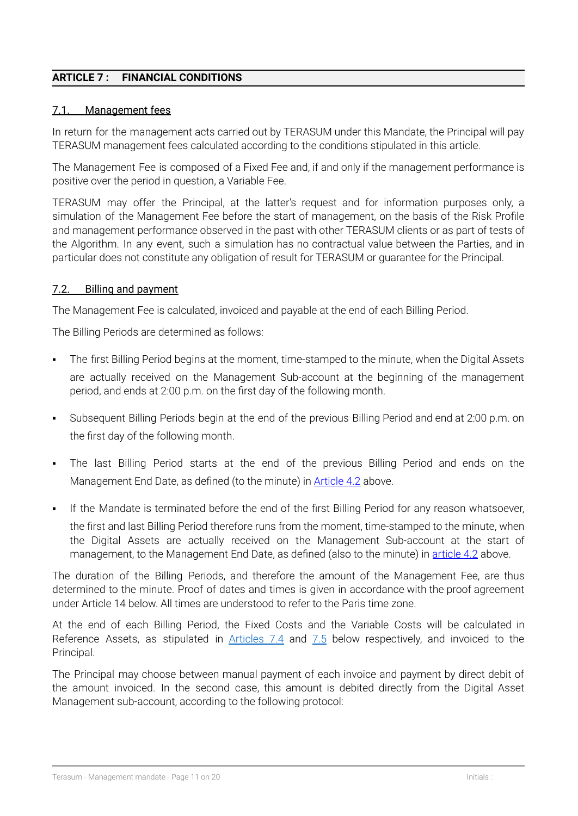## <span id="page-10-0"></span>**ARTICLE 7 : FINANCIAL CONDITIONS**

#### 7.1. Management fees

In return for the management acts carried out by TERASUM under this Mandate, the Principal will pay TERASUM management fees calculated according to the conditions stipulated in this article.

The Management Fee is composed of a Fixed Fee and, if and only if the management performance is positive over the period in question, a Variable Fee.

TERASUM may offer the Principal, at the latter's request and for information purposes only, a simulation of the Management Fee before the start of management, on the basis of the Risk Profile and management performance observed in the past with other TERASUM clients or as part of tests of the Algorithm. In any event, such a simulation has no contractual value between the Parties, and in particular does not constitute any obligation of result for TERASUM or guarantee for the Principal.

#### <span id="page-10-1"></span>7.2. Billing and payment

The Management Fee is calculated, invoiced and payable at the end of each Billing Period.

The Billing Periods are determined as follows:

- **•** The first Billing Period begins at the moment, time-stamped to the minute, when the Digital Assets are actually received on the Management Sub-account at the beginning of the management period, and ends at 2:00 p.m. on the first day of the following month.
- Subsequent Billing Periods begin at the end of the previous Billing Period and end at 2:00 p.m. on the first day of the following month.
- The last Billing Period starts at the end of the previous Billing Period and ends on the Management End Date, as defined (to the minute) in [Article](#page-4-0) 4.2 above.
- If the Mandate is terminated before the end of the first Billing Period for any reason whatsoever, the first and last Billing Period therefore runs from the moment, time-stamped to the minute, when the Digital Assets are actually received on the Management Sub-account at the start of management, to the Management End Date, as defined (also to the minute) in [article](#page-4-0) 4.2 above.

The duration of the Billing Periods, and therefore the amount of the Management Fee, are thus determined to the minute. Proof of dates and times is given in accordance with the proof agreement under Article 14 below. All times are understood to refer to the Paris time zone.

At the end of each Billing Period, the Fixed Costs and the Variable Costs will be calculated in Reference Assets, as stipulated in [Articles](#page-11-0) 7.4 and [7.5](#page-12-0) below respectively, and invoiced to the Principal.

The Principal may choose between manual payment of each invoice and payment by direct debit of the amount invoiced. In the second case, this amount is debited directly from the Digital Asset Management sub-account, according to the following protocol: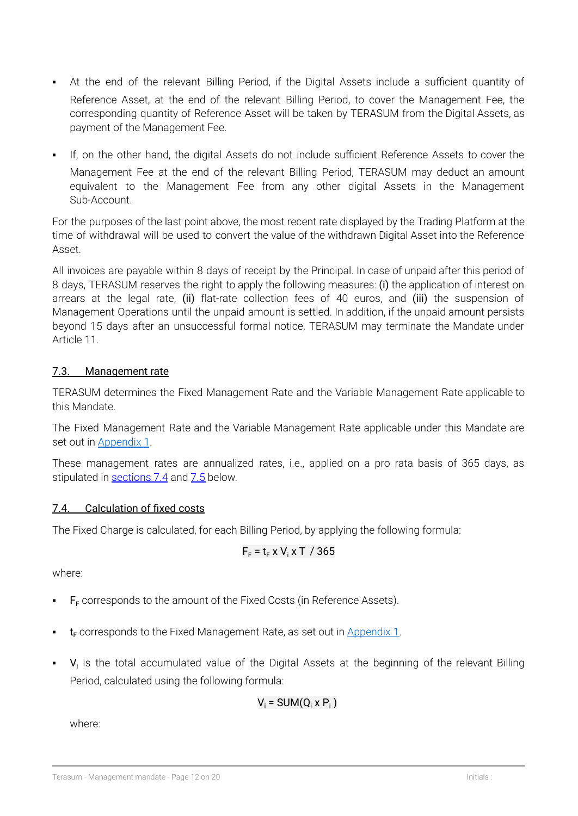- At the end of the relevant Billing Period, if the Digital Assets include a sufficient quantity of Reference Asset, at the end of the relevant Billing Period, to cover the Management Fee, the corresponding quantity of Reference Asset will be taken by TERASUM from the Digital Assets, as payment of the Management Fee.
- If, on the other hand, the digital Assets do not include sufficient Reference Assets to cover the Management Fee at the end of the relevant Billing Period, TERASUM may deduct an amount equivalent to the Management Fee from any other digital Assets in the Management Sub-Account.

For the purposes of the last point above, the most recent rate displayed by the Trading Platform at the time of withdrawal will be used to convert the value of the withdrawn Digital Asset into the Reference Asset.

All invoices are payable within 8 days of receipt by the Principal. In case of unpaid after this period of 8 days, TERASUM reserves the right to apply the following measures: (i) the application of interest on arrears at the legal rate, (ii) flat-rate collection fees of 40 euros, and (iii) the suspension of Management Operations until the unpaid amount is settled. In addition, if the unpaid amount persists beyond 15 days after an unsuccessful formal notice, TERASUM may terminate the Mandate under Article 11.

# <span id="page-11-1"></span>7.3. Management rate

TERASUM determines the Fixed Management Rate and the Variable Management Rate applicable to this Mandate.

The Fixed Management Rate and the Variable Management Rate applicable under this Mandate are set out in [Appendix](#page-18-0) 1.

These management rates are annualized rates, i.e., applied on a pro rata basis of 365 days, as stipulated in [sections](#page-11-0) 7.4 and [7.5](#page-12-0) below.

# <span id="page-11-0"></span>7.4. Calculation of fixed costs

The Fixed Charge is calculated, for each Billing Period, by applying the following formula:

$$
F_F = t_F \times V_i \times T / 365
$$

where:

- $F<sub>F</sub>$  corresponds to the amount of the Fixed Costs (in Reference Assets).
- $t_F$  corresponds to the Fixed Management Rate, as set out in [Appendix](#page-18-0) 1.
- $\bullet$   $\mathsf{V}_i$  is the total accumulated value of the Digital Assets at the beginning of the relevant Billing Period, calculated using the following formula:

$$
V_i = SUM(Q_i \times P_i)
$$

where: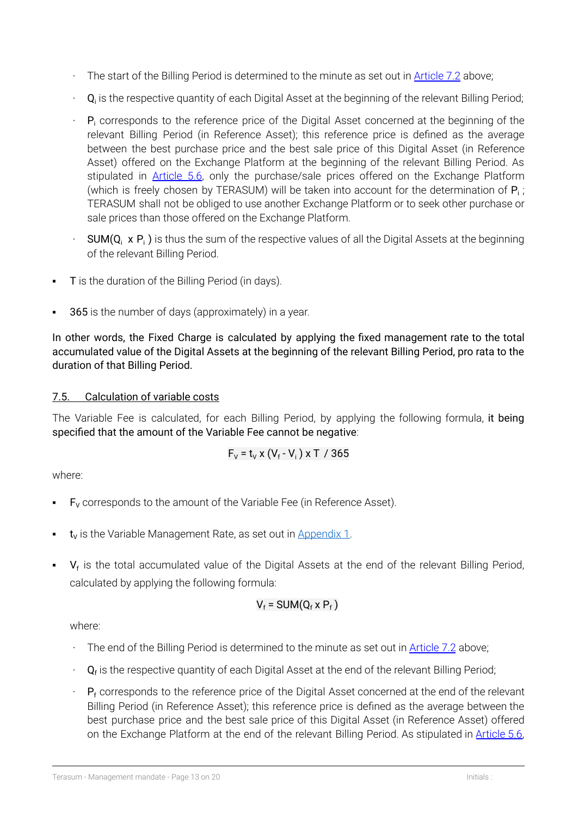- The start of the Billing Period is determined to the minute as set out in [Article](#page-10-1) 7.2 above;
- $\cdot$  Q<sub>i</sub> is the respective quantity of each Digital Asset at the beginning of the relevant Billing Period;
- $P_i$  corresponds to the reference price of the Digital Asset concerned at the beginning of the relevant Billing Period (in Reference Asset); this reference price is defined as the average between the best purchase price and the best sale price of this Digital Asset (in Reference Asset) offered on the Exchange Platform at the beginning of the relevant Billing Period. As stipulated in [Article](#page-7-1) 5.6, only the purchase/sale prices offered on the Exchange Platform (which is freely chosen by TERASUM) will be taken into account for the determination of  $P_i$ ; TERASUM shall not be obliged to use another Exchange Platform or to seek other purchase or sale prices than those offered on the Exchange Platform.
- **SUM(Q<sub>i</sub> x P<sub>i</sub>)** is thus the sum of the respective values of all the Digital Assets at the beginning of the relevant Billing Period.
- **T** is the duration of the Billing Period (in days).
- 365 is the number of days (approximately) in a year.

In other words, the Fixed Charge is calculated by applying the fixed management rate to the total accumulated value of the Digital Assets at the beginning of the relevant Billing Period, pro rata to the duration of that Billing Period.

## <span id="page-12-0"></span>7.5. Calculation of variable costs

The Variable Fee is calculated, for each Billing Period, by applying the following formula, it being specified that the amount of the Variable Fee cannot be negative:

$$
F_v = t_v \times (V_f - V_i) \times T / 365
$$

where:

- $F<sub>V</sub>$  corresponds to the amount of the Variable Fee (in Reference Asset).
- $t_v$  is the Variable Management Rate, as set out in [Appendix](#page-18-0) 1.
- $\bullet$   $\mathsf{V}_{\mathsf{f}}$  is the total accumulated value of the Digital Assets at the end of the relevant Billing Period, calculated by applying the following formula:

$$
V_f = SUM(Q_f \times P_f)
$$

where:

- $\cdot$  The end of the Billing Period is determined to the minute as set out in [Article](#page-10-1) 7.2 above;
- $\cdot$  Q<sub>f</sub> is the respective quantity of each Digital Asset at the end of the relevant Billing Period;
- $P_f$  corresponds to the reference price of the Digital Asset concerned at the end of the relevant Billing Period (in Reference Asset); this reference price is defined as the average between the best purchase price and the best sale price of this Digital Asset (in Reference Asset) offered on the Exchange Platform at the end of the relevant Billing Period. As stipulated in [Article](#page-7-1) 5.6,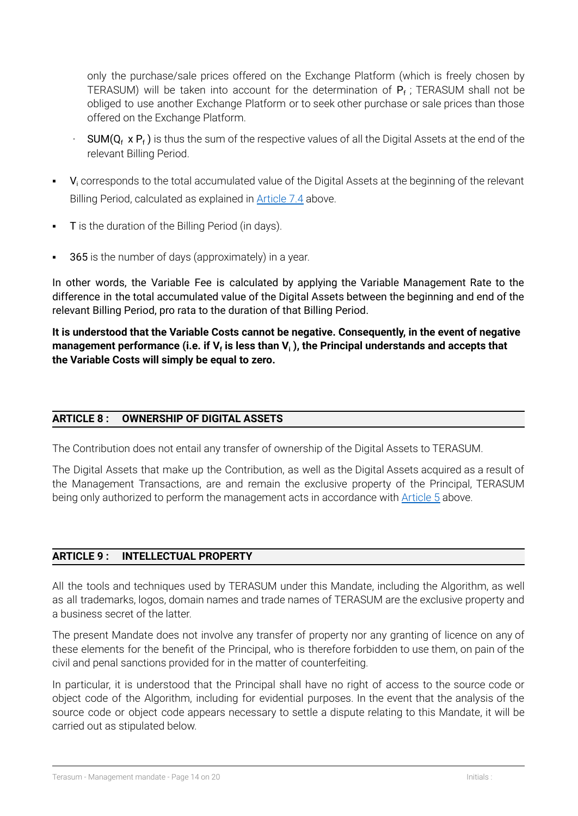only the purchase/sale prices offered on the Exchange Platform (which is freely chosen by TERASUM) will be taken into account for the determination of  $P_f$ ; TERASUM shall not be obliged to use another Exchange Platform or to seek other purchase or sale prices than those offered on the Exchange Platform.

- $SUM(Q_f \times P_f)$  is thus the sum of the respective values of all the Digital Assets at the end of the relevant Billing Period.
- $\bullet$   $\bullet$  V<sub>i</sub> corresponds to the total accumulated value of the Digital Assets at the beginning of the relevant Billing Period, calculated as explained in [Article](#page-11-0) 7.4 above.
- T is the duration of the Billing Period (in days).
- 365 is the number of days (approximately) in a year.

In other words, the Variable Fee is calculated by applying the Variable Management Rate to the difference in the total accumulated value of the Digital Assets between the beginning and end of the relevant Billing Period, pro rata to the duration of that Billing Period.

**It is understood that the Variable Costs cannot be negative. Consequently, in the event of negative management performance (i.e. if V<sup>f</sup> is less than V<sup>i</sup> ), the Principal understands and accepts that the Variable Costs will simply be equal to zero.**

## **ARTICLE 8 : OWNERSHIP OF DIGITAL ASSETS**

The Contribution does not entail any transfer of ownership of the Digital Assets to TERASUM.

The Digital Assets that make up the Contribution, as well as the Digital Assets acquired as a result of the Management Transactions, are and remain the exclusive property of the Principal, TERASUM being only authorized to perform the management acts in accordance with **[Article](#page-5-1) 5** above.

#### **ARTICLE 9 : INTELLECTUAL PROPERTY**

All the tools and techniques used by TERASUM under this Mandate, including the Algorithm, as well as all trademarks, logos, domain names and trade names of TERASUM are the exclusive property and a business secret of the latter.

The present Mandate does not involve any transfer of property nor any granting of licence on any of these elements for the benefit of the Principal, who is therefore forbidden to use them, on pain of the civil and penal sanctions provided for in the matter of counterfeiting.

In particular, it is understood that the Principal shall have no right of access to the source code or object code of the Algorithm, including for evidential purposes. In the event that the analysis of the source code or object code appears necessary to settle a dispute relating to this Mandate, it will be carried out as stipulated below.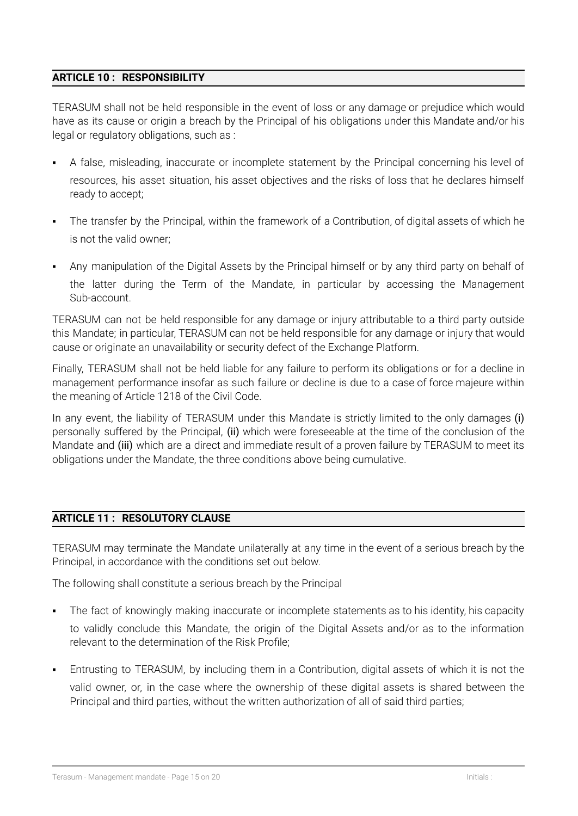## **ARTICLE 10 : RESPONSIBILITY**

TERASUM shall not be held responsible in the event of loss or any damage or prejudice which would have as its cause or origin a breach by the Principal of his obligations under this Mandate and/or his legal or regulatory obligations, such as :

- A false, misleading, inaccurate or incomplete statement by the Principal concerning his level of resources, his asset situation, his asset objectives and the risks of loss that he declares himself ready to accept;
- The transfer by the Principal, within the framework of a Contribution, of digital assets of which he is not the valid owner;
- Any manipulation of the Digital Assets by the Principal himself or by any third party on behalf of the latter during the Term of the Mandate, in particular by accessing the Management Sub-account.

TERASUM can not be held responsible for any damage or injury attributable to a third party outside this Mandate; in particular, TERASUM can not be held responsible for any damage or injury that would cause or originate an unavailability or security defect of the Exchange Platform.

Finally, TERASUM shall not be held liable for any failure to perform its obligations or for a decline in management performance insofar as such failure or decline is due to a case of force majeure within the meaning of Article 1218 of the Civil Code.

In any event, the liability of TERASUM under this Mandate is strictly limited to the only damages (i) personally suffered by the Principal, (ii) which were foreseeable at the time of the conclusion of the Mandate and (iii) which are a direct and immediate result of a proven failure by TERASUM to meet its obligations under the Mandate, the three conditions above being cumulative.

## **ARTICLE 11 : RESOLUTORY CLAUSE**

TERASUM may terminate the Mandate unilaterally at any time in the event of a serious breach by the Principal, in accordance with the conditions set out below.

The following shall constitute a serious breach by the Principal

- The fact of knowingly making inaccurate or incomplete statements as to his identity, his capacity to validly conclude this Mandate, the origin of the Digital Assets and/or as to the information relevant to the determination of the Risk Profile;
- Entrusting to TERASUM, by including them in a Contribution, digital assets of which it is not the valid owner, or, in the case where the ownership of these digital assets is shared between the Principal and third parties, without the written authorization of all of said third parties;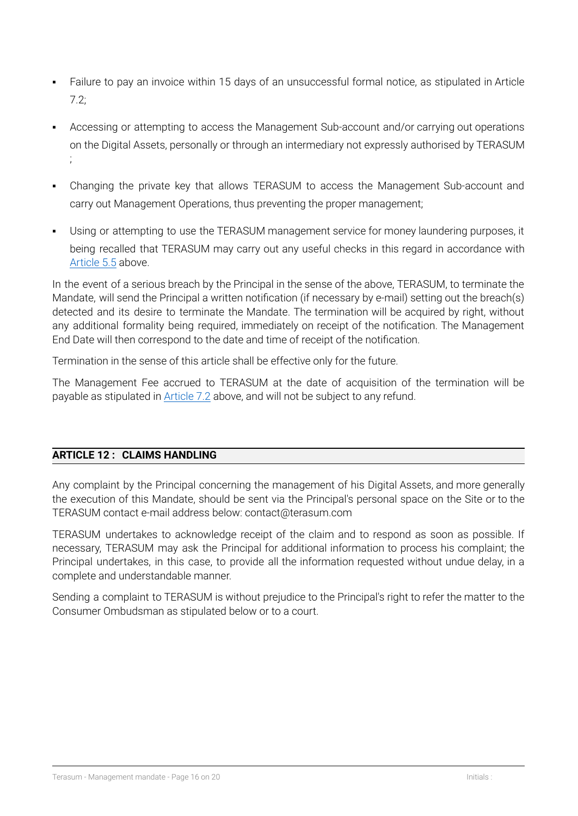- Failure to pay an invoice within 15 days of an unsuccessful formal notice, as stipulated in Article 7.2;
- Accessing or attempting to access the Management Sub-account and/or carrying out operations on the Digital Assets, personally or through an intermediary not expressly authorised by TERASUM ;
- Changing the private key that allows TERASUM to access the Management Sub-account and carry out Management Operations, thus preventing the proper management;
- Using or attempting to use the TERASUM management service for money laundering purposes, it being recalled that TERASUM may carry out any useful checks in this regard in accordance with [Article](#page-6-0) 5.5 above.

In the event of a serious breach by the Principal in the sense of the above, TERASUM, to terminate the Mandate, will send the Principal a written notification (if necessary by e-mail) setting out the breach(s) detected and its desire to terminate the Mandate. The termination will be acquired by right, without any additional formality being required, immediately on receipt of the notification. The Management End Date will then correspond to the date and time of receipt of the notification.

Termination in the sense of this article shall be effective only for the future.

The Management Fee accrued to TERASUM at the date of acquisition of the termination will be payable as stipulated in [Article](#page-10-1) 7.2 above, and will not be subject to any refund.

## **ARTICLE 12 : CLAIMS HANDLING**

Any complaint by the Principal concerning the management of his Digital Assets, and more generally the execution of this Mandate, should be sent via the Principal's personal space on the Site or to the TERASUM contact e-mail address below: contact@terasum.com

TERASUM undertakes to acknowledge receipt of the claim and to respond as soon as possible. If necessary, TERASUM may ask the Principal for additional information to process his complaint; the Principal undertakes, in this case, to provide all the information requested without undue delay, in a complete and understandable manner.

Sending a complaint to TERASUM is without prejudice to the Principal's right to refer the matter to the Consumer Ombudsman as stipulated below or to a court.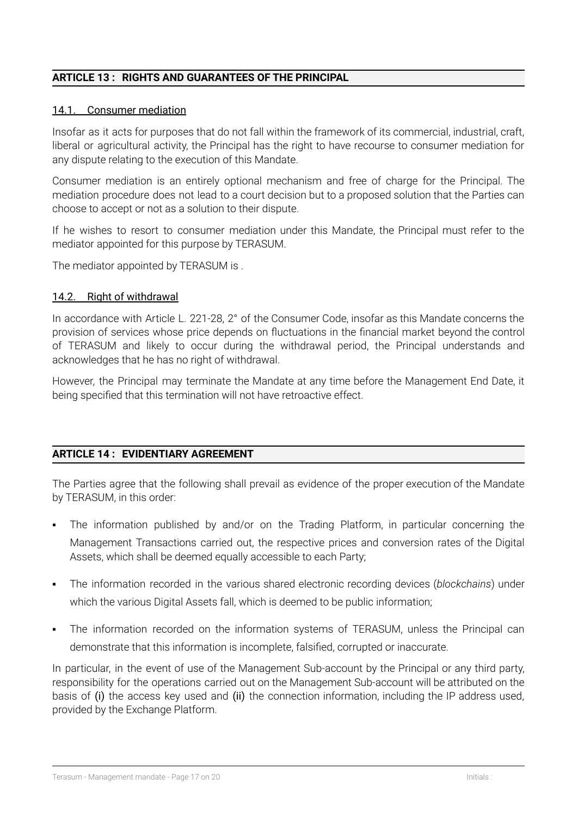## **ARTICLE 13 : RIGHTS AND GUARANTEES OF THE PRINCIPAL**

#### 14.1. Consumer mediation

Insofar as it acts for purposes that do not fall within the framework of its commercial, industrial, craft, liberal or agricultural activity, the Principal has the right to have recourse to consumer mediation for any dispute relating to the execution of this Mandate.

Consumer mediation is an entirely optional mechanism and free of charge for the Principal. The mediation procedure does not lead to a court decision but to a proposed solution that the Parties can choose to accept or not as a solution to their dispute.

If he wishes to resort to consumer mediation under this Mandate, the Principal must refer to the mediator appointed for this purpose by TERASUM.

The mediator appointed by TERASUM is .

#### 14.2. Right of withdrawal

In accordance with Article L. 221-28, 2° of the Consumer Code, insofar as this Mandate concerns the provision of services whose price depends on fluctuations in the financial market beyond the control of TERASUM and likely to occur during the withdrawal period, the Principal understands and acknowledges that he has no right of withdrawal.

However, the Principal may terminate the Mandate at any time before the Management End Date, it being specified that this termination will not have retroactive effect.

## **ARTICLE 14 : EVIDENTIARY AGREEMENT**

The Parties agree that the following shall prevail as evidence of the proper execution of the Mandate by TERASUM, in this order:

- The information published by and/or on the Trading Platform, in particular concerning the Management Transactions carried out, the respective prices and conversion rates of the Digital Assets, which shall be deemed equally accessible to each Party;
- The information recorded in the various shared electronic recording devices (*blockchains*) under which the various Digital Assets fall, which is deemed to be public information;
- The information recorded on the information systems of TERASUM, unless the Principal can demonstrate that this information is incomplete, falsified, corrupted or inaccurate.

In particular, in the event of use of the Management Sub-account by the Principal or any third party, responsibility for the operations carried out on the Management Sub-account will be attributed on the basis of (i) the access key used and (ii) the connection information, including the IP address used, provided by the Exchange Platform.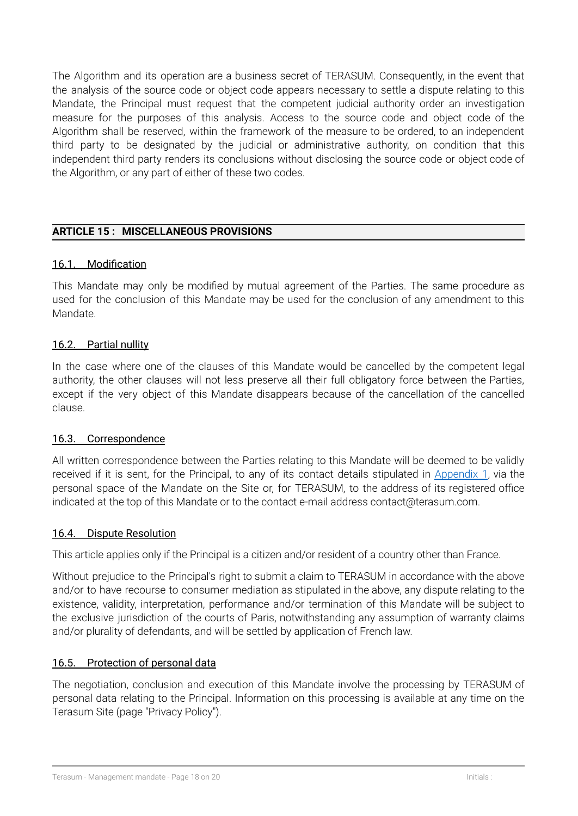The Algorithm and its operation are a business secret of TERASUM. Consequently, in the event that the analysis of the source code or object code appears necessary to settle a dispute relating to this Mandate, the Principal must request that the competent judicial authority order an investigation measure for the purposes of this analysis. Access to the source code and object code of the Algorithm shall be reserved, within the framework of the measure to be ordered, to an independent third party to be designated by the judicial or administrative authority, on condition that this independent third party renders its conclusions without disclosing the source code or object code of the Algorithm, or any part of either of these two codes.

## **ARTICLE 15 : MISCELLANEOUS PROVISIONS**

## 16.1. Modification

This Mandate may only be modified by mutual agreement of the Parties. The same procedure as used for the conclusion of this Mandate may be used for the conclusion of any amendment to this Mandate.

#### 16.2. Partial nullity

In the case where one of the clauses of this Mandate would be cancelled by the competent legal authority, the other clauses will not less preserve all their full obligatory force between the Parties, except if the very object of this Mandate disappears because of the cancellation of the cancelled clause.

#### 16.3. Correspondence

All written correspondence between the Parties relating to this Mandate will be deemed to be validly received if it is sent, for the Principal, to any of its contact details stipulated in [Appendix](#page-18-0) 1, via the personal space of the Mandate on the Site or, for TERASUM, to the address of its registered office indicated at the top of this Mandate or to the contact e-mail address contact@terasum.com.

#### 16.4. Dispute Resolution

This article applies only if the Principal is a citizen and/or resident of a country other than France.

Without prejudice to the Principal's right to submit a claim to TERASUM in accordance with the above and/or to have recourse to consumer mediation as stipulated in the above, any dispute relating to the existence, validity, interpretation, performance and/or termination of this Mandate will be subject to the exclusive jurisdiction of the courts of Paris, notwithstanding any assumption of warranty claims and/or plurality of defendants, and will be settled by application of French law.

## 16.5. Protection of personal data

The negotiation, conclusion and execution of this Mandate involve the processing by TERASUM of personal data relating to the Principal. Information on this processing is available at any time on the Terasum Site (page "Privacy Policy").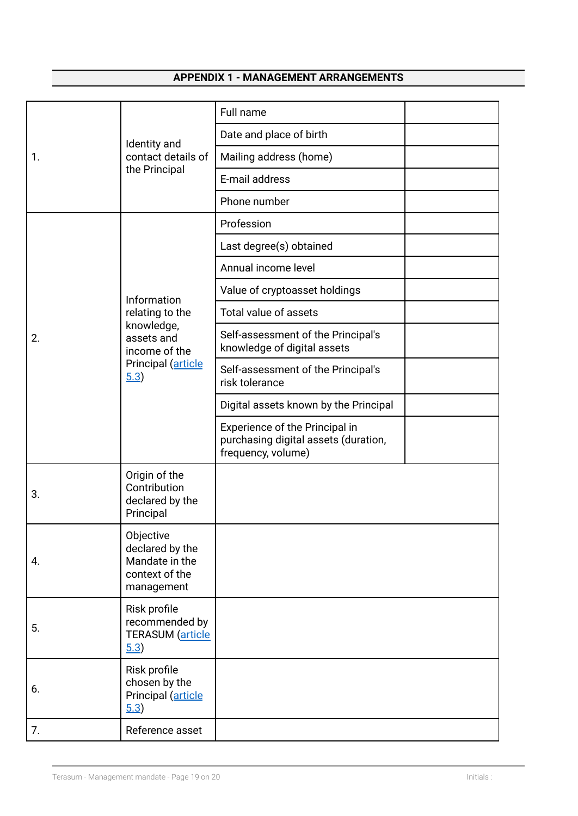# **APPENDIX 1 - MANAGEMENT ARRANGEMENTS**

<span id="page-18-0"></span>

| 1. | Identity and<br>contact details of<br>the Principal                                                        | Full name                                                                                    |  |
|----|------------------------------------------------------------------------------------------------------------|----------------------------------------------------------------------------------------------|--|
|    |                                                                                                            | Date and place of birth                                                                      |  |
|    |                                                                                                            | Mailing address (home)                                                                       |  |
|    |                                                                                                            | E-mail address                                                                               |  |
|    |                                                                                                            | Phone number                                                                                 |  |
| 2. | Information<br>relating to the<br>knowledge,<br>assets and<br>income of the<br>Principal (article<br>(5.3) | Profession                                                                                   |  |
|    |                                                                                                            | Last degree(s) obtained                                                                      |  |
|    |                                                                                                            | Annual income level                                                                          |  |
|    |                                                                                                            | Value of cryptoasset holdings                                                                |  |
|    |                                                                                                            | Total value of assets                                                                        |  |
|    |                                                                                                            | Self-assessment of the Principal's<br>knowledge of digital assets                            |  |
|    |                                                                                                            | Self-assessment of the Principal's<br>risk tolerance                                         |  |
|    |                                                                                                            | Digital assets known by the Principal                                                        |  |
|    |                                                                                                            | Experience of the Principal in<br>purchasing digital assets (duration,<br>frequency, volume) |  |
| 3. | Origin of the<br>Contribution<br>declared by the<br>Principal                                              |                                                                                              |  |
| 4. | Objective<br>declared by the<br>Mandate in the<br>context of the<br>management                             |                                                                                              |  |
| 5. | Risk profile<br>recommended by<br><b>TERASUM</b> (article<br>5.3)                                          |                                                                                              |  |
| 6. | Risk profile<br>chosen by the<br>Principal (article<br>$\underline{5.3}$                                   |                                                                                              |  |
| 7. | Reference asset                                                                                            |                                                                                              |  |